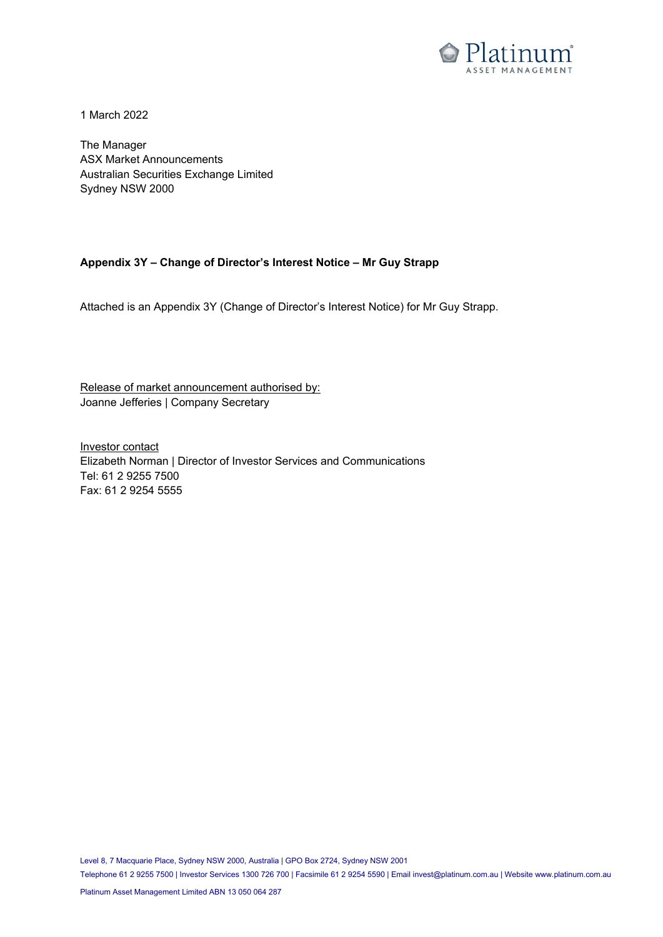

1 March 2022

The Manager ASX Market Announcements Australian Securities Exchange Limited Sydney NSW 2000

#### **Appendix 3Y – Change of Director's Interest Notice – Mr Guy Strapp**

Attached is an Appendix 3Y (Change of Director's Interest Notice) for Mr Guy Strapp.

Release of market announcement authorised by: Joanne Jefferies | Company Secretary

Investor contact Elizabeth Norman | Director of Investor Services and Communications Tel: 61 2 9255 7500 Fax: 61 2 9254 5555

Level 8, 7 Macquarie Place, Sydney NSW 2000, Australia | GPO Box 2724, Sydney NSW 2001

Telephone 61 2 9255 7500 | Investor Services 1300 726 700 | Facsimile 61 2 9254 5590 | Email [invest@platinum.com.au](mailto:invest@platinum.com.au) | Websit[e www.platinum.com.au](http://www.platinum.com.au/)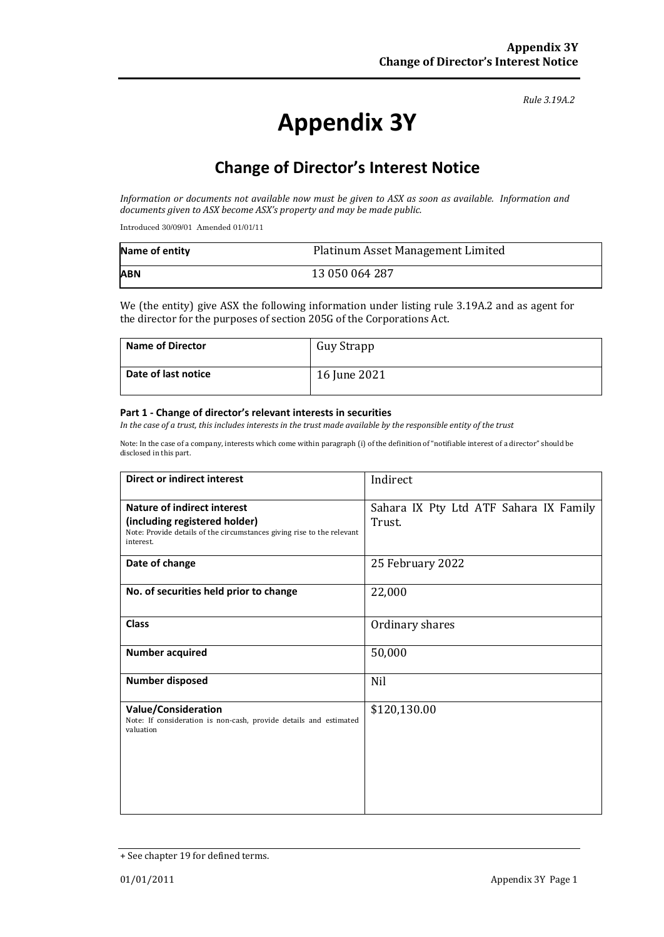*Rule 3.19A.2*

# **Appendix 3Y**

# **Change of Director's Interest Notice**

*Information or documents not available now must be given to ASX as soon as available. Information and documents given to ASX become ASX's property and may be made public.*

Introduced 30/09/01 Amended 01/01/11

| Name of entity | Platinum Asset Management Limited |
|----------------|-----------------------------------|
| <b>ABN</b>     | 13 050 064 287                    |

We (the entity) give ASX the following information under listing rule 3.19A.2 and as agent for the director for the purposes of section 205G of the Corporations Act.

| <b>Name of Director</b> | Guy Strapp   |
|-------------------------|--------------|
| Date of last notice     | 16 June 2021 |

#### **Part 1 - Change of director's relevant interests in securities**

*In the case of a trust, this includes interests in the trust made available by the responsible entity of the trust*

Note: In the case of a company, interests which come within paragraph (i) of the definition of "notifiable interest of a director" should be disclosed in this part.

| <b>Direct or indirect interest</b>                                                                                                                  | Indirect                                         |
|-----------------------------------------------------------------------------------------------------------------------------------------------------|--------------------------------------------------|
| Nature of indirect interest<br>(including registered holder)<br>Note: Provide details of the circumstances giving rise to the relevant<br>interest. | Sahara IX Pty Ltd ATF Sahara IX Family<br>Trust. |
| Date of change                                                                                                                                      | 25 February 2022                                 |
| No. of securities held prior to change                                                                                                              | 22,000                                           |
| <b>Class</b>                                                                                                                                        | Ordinary shares                                  |
| <b>Number acquired</b>                                                                                                                              | 50,000                                           |
| <b>Number disposed</b>                                                                                                                              | Nil                                              |
| <b>Value/Consideration</b><br>Note: If consideration is non-cash, provide details and estimated<br>valuation                                        | \$120,130.00                                     |

<sup>+</sup> See chapter 19 for defined terms.